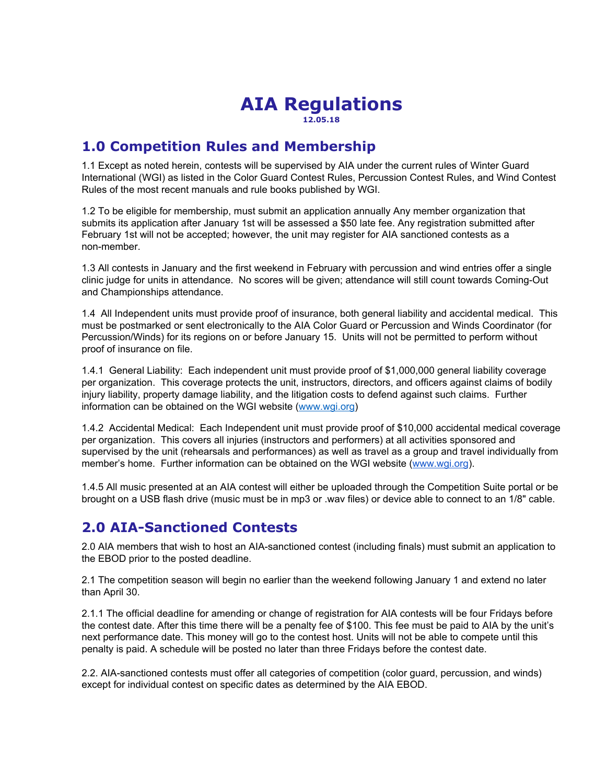#### **AIA Regulations 12.05.18**

### **1.0 Competition Rules and Membership**

1.1 Except as noted herein, contests will be supervised by AIA under the current rules of Winter Guard International (WGI) as listed in the Color Guard Contest Rules, Percussion Contest Rules, and Wind Contest Rules of the most recent manuals and rule books published by WGI.

1.2 To be eligible for membership, must submit an application annually Any member organization that submits its application after January 1st will be assessed a \$50 late fee. Any registration submitted after February 1st will not be accepted; however, the unit may register for AIA sanctioned contests as a non-member.

1.3 All contests in January and the first weekend in February with percussion and wind entries offer a single clinic judge for units in attendance. No scores will be given; attendance will still count towards Coming-Out and Championships attendance.

1.4 All Independent units must provide proof of insurance, both general liability and accidental medical. This must be postmarked or sent electronically to the AIA Color Guard or Percussion and Winds Coordinator (for Percussion/Winds) for its regions on or before January 15. Units will not be permitted to perform without proof of insurance on file.

1.4.1 General Liability: Each independent unit must provide proof of \$1,000,000 general liability coverage per organization. This coverage protects the unit, instructors, directors, and officers against claims of bodily injury liability, property damage liability, and the litigation costs to defend against such claims. Further information can be obtained on the WGI website ([www.wgi.org](http://www.wgi.org/))

1.4.2 Accidental Medical: Each Independent unit must provide proof of \$10,000 accidental medical coverage per organization. This covers all injuries (instructors and performers) at all activities sponsored and supervised by the unit (rehearsals and performances) as well as travel as a group and travel individually from member's home. Further information can be obtained on the WGI website ([www.wgi.org](http://www.wgi.org/)).

1.4.5 All music presented at an AIA contest will either be uploaded through the Competition Suite portal or be brought on a USB flash drive (music must be in mp3 or .wav files) or device able to connect to an 1/8" cable.

### **2.0 AIA-Sanctioned Contests**

2.0 AIA members that wish to host an AIA-sanctioned contest (including finals) must submit an application to the EBOD prior to the posted deadline.

2.1 The competition season will begin no earlier than the weekend following January 1 and extend no later than April 30.

2.1.1 The official deadline for amending or change of registration for AIA contests will be four Fridays before the contest date. After this time there will be a penalty fee of \$100. This fee must be paid to AIA by the unit's next performance date. This money will go to the contest host. Units will not be able to compete until this penalty is paid. A schedule will be posted no later than three Fridays before the contest date.

2.2. AIA-sanctioned contests must offer all categories of competition (color guard, percussion, and winds) except for individual contest on specific dates as determined by the AIA EBOD.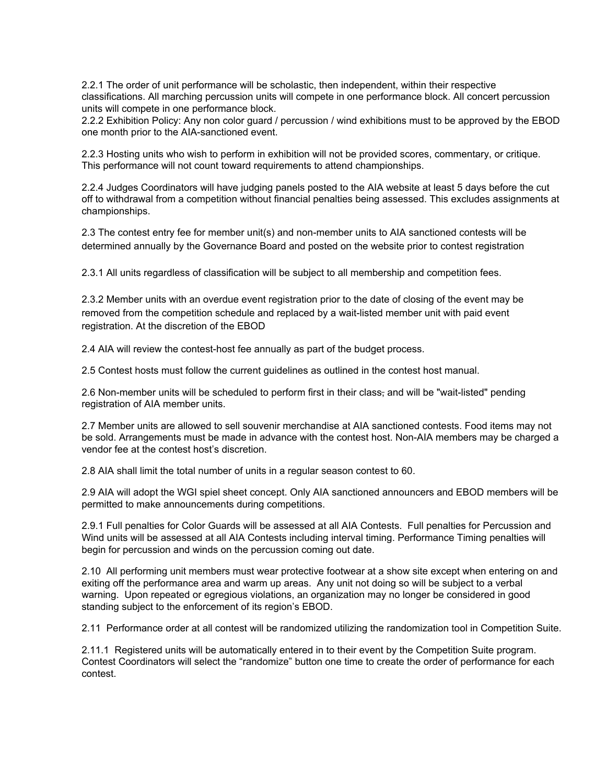2.2.1 The order of unit performance will be scholastic, then independent, within their respective classifications. All marching percussion units will compete in one performance block. All concert percussion units will compete in one performance block.

2.2.2 Exhibition Policy: Any non color guard / percussion / wind exhibitions must to be approved by the EBOD one month prior to the AIA-sanctioned event.

2.2.3 Hosting units who wish to perform in exhibition will not be provided scores, commentary, or critique. This performance will not count toward requirements to attend championships.

2.2.4 Judges Coordinators will have judging panels posted to the AIA website at least 5 days before the cut off to withdrawal from a competition without financial penalties being assessed. This excludes assignments at championships.

2.3 The contest entry fee for member unit(s) and non-member units to AIA sanctioned contests will be determined annually by the Governance Board and posted on the website prior to contest registration

2.3.1 All units regardless of classification will be subject to all membership and competition fees.

2.3.2 Member units with an overdue event registration prior to the date of closing of the event may be removed from the competition schedule and replaced by a wait-listed member unit with paid event registration. At the discretion of the EBOD

2.4 AIA will review the contest-host fee annually as part of the budget process.

2.5 Contest hosts must follow the current guidelines as outlined in the contest host manual.

2.6 Non-member units will be scheduled to perform first in their class- and will be "wait-listed" pending registration of AIA member units.

2.7 Member units are allowed to sell souvenir merchandise at AIA sanctioned contests. Food items may not be sold. Arrangements must be made in advance with the contest host. Non-AIA members may be charged a vendor fee at the contest host's discretion.

2.8 AIA shall limit the total number of units in a regular season contest to 60.

2.9 AIA will adopt the WGI spiel sheet concept. Only AIA sanctioned announcers and EBOD members will be permitted to make announcements during competitions.

2.9.1 Full penalties for Color Guards will be assessed at all AIA Contests. Full penalties for Percussion and Wind units will be assessed at all AIA Contests including interval timing. Performance Timing penalties will begin for percussion and winds on the percussion coming out date.

2.10 All performing unit members must wear protective footwear at a show site except when entering on and exiting off the performance area and warm up areas. Any unit not doing so will be subject to a verbal warning. Upon repeated or egregious violations, an organization may no longer be considered in good standing subject to the enforcement of its region's EBOD.

2.11 Performance order at all contest will be randomized utilizing the randomization tool in Competition Suite.

2.11.1 Registered units will be automatically entered in to their event by the Competition Suite program. Contest Coordinators will select the "randomize" button one time to create the order of performance for each contest.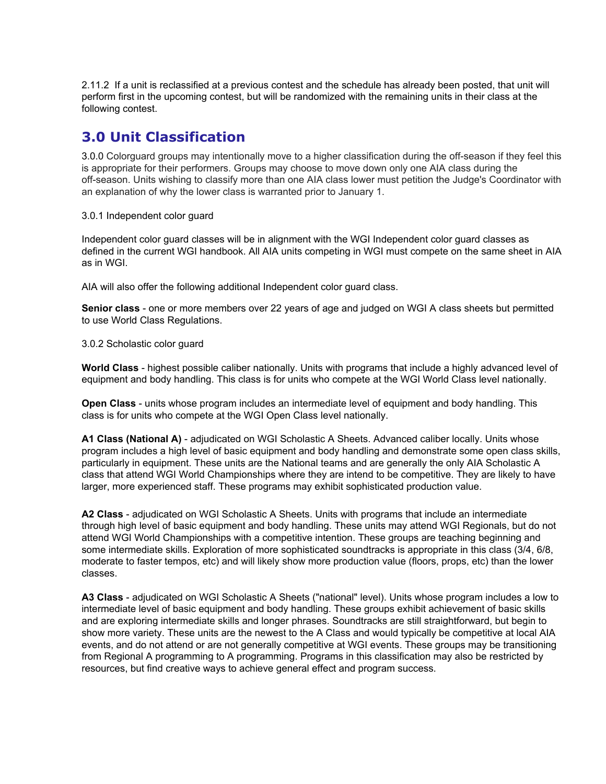2.11.2 If a unit is reclassified at a previous contest and the schedule has already been posted, that unit will perform first in the upcoming contest, but will be randomized with the remaining units in their class at the following contest.

# **3.0 Unit Classification**

3.0.0 Colorguard groups may intentionally move to a higher classification during the off-season if they feel this is appropriate for their performers. Groups may choose to move down only one AIA class during the off-season. Units wishing to classify more than one AIA class lower must petition the Judge's Coordinator with an explanation of why the lower class is warranted prior to January 1.

3.0.1 Independent color guard

Independent color guard classes will be in alignment with the WGI Independent color guard classes as defined in the current WGI handbook. All AIA units competing in WGI must compete on the same sheet in AIA as in WGI.

AIA will also offer the following additional Independent color guard class.

**Senior class** - one or more members over 22 years of age and judged on WGI A class sheets but permitted to use World Class Regulations.

3.0.2 Scholastic color guard

**World Class** - highest possible caliber nationally. Units with programs that include a highly advanced level of equipment and body handling. This class is for units who compete at the WGI World Class level nationally.

**Open Class** - units whose program includes an intermediate level of equipment and body handling. This class is for units who compete at the WGI Open Class level nationally.

**A1 Class (National A)** - adjudicated on WGI Scholastic A Sheets. Advanced caliber locally. Units whose program includes a high level of basic equipment and body handling and demonstrate some open class skills, particularly in equipment. These units are the National teams and are generally the only AIA Scholastic A class that attend WGI World Championships where they are intend to be competitive. They are likely to have larger, more experienced staff. These programs may exhibit sophisticated production value.

**A2 Class** - adjudicated on WGI Scholastic A Sheets. Units with programs that include an intermediate through high level of basic equipment and body handling. These units may attend WGI Regionals, but do not attend WGI World Championships with a competitive intention. These groups are teaching beginning and some intermediate skills. Exploration of more sophisticated soundtracks is appropriate in this class (3/4, 6/8, moderate to faster tempos, etc) and will likely show more production value (floors, props, etc) than the lower classes.

**A3 Class** - adjudicated on WGI Scholastic A Sheets ("national" level). Units whose program includes a low to intermediate level of basic equipment and body handling. These groups exhibit achievement of basic skills and are exploring intermediate skills and longer phrases. Soundtracks are still straightforward, but begin to show more variety. These units are the newest to the A Class and would typically be competitive at local AIA events, and do not attend or are not generally competitive at WGI events. These groups may be transitioning from Regional A programming to A programming. Programs in this classification may also be restricted by resources, but find creative ways to achieve general effect and program success.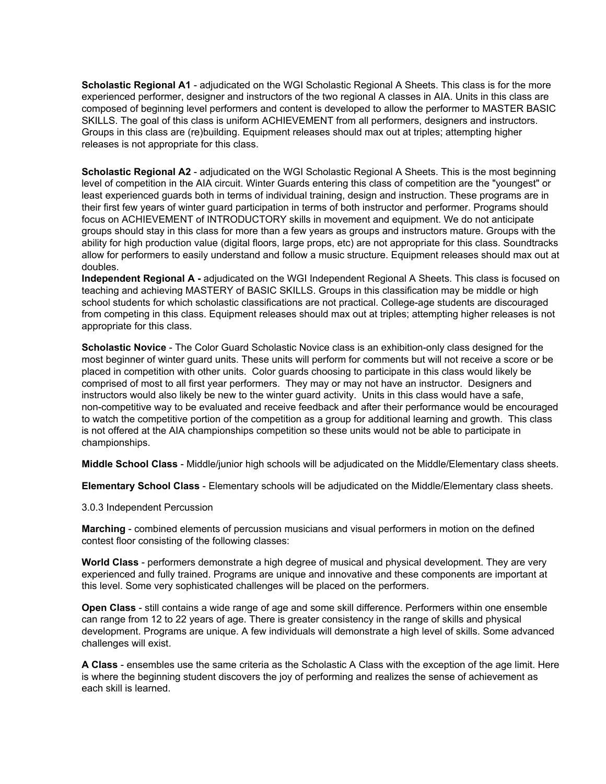**Scholastic Regional A1** - adjudicated on the WGI Scholastic Regional A Sheets. This class is for the more experienced performer, designer and instructors of the two regional A classes in AIA. Units in this class are composed of beginning level performers and content is developed to allow the performer to MASTER BASIC SKILLS. The goal of this class is uniform ACHIEVEMENT from all performers, designers and instructors. Groups in this class are (re)building. Equipment releases should max out at triples; attempting higher releases is not appropriate for this class.

**Scholastic Regional A2** - adjudicated on the WGI Scholastic Regional A Sheets. This is the most beginning level of competition in the AIA circuit. Winter Guards entering this class of competition are the "youngest" or least experienced guards both in terms of individual training, design and instruction. These programs are in their first few years of winter guard participation in terms of both instructor and performer. Programs should focus on ACHIEVEMENT of INTRODUCTORY skills in movement and equipment. We do not anticipate groups should stay in this class for more than a few years as groups and instructors mature. Groups with the ability for high production value (digital floors, large props, etc) are not appropriate for this class. Soundtracks allow for performers to easily understand and follow a music structure. Equipment releases should max out at doubles.

**Independent Regional A -** adjudicated on the WGI Independent Regional A Sheets. This class is focused on teaching and achieving MASTERY of BASIC SKILLS. Groups in this classification may be middle or high school students for which scholastic classifications are not practical. College-age students are discouraged from competing in this class. Equipment releases should max out at triples; attempting higher releases is not appropriate for this class.

**Scholastic Novice** - The Color Guard Scholastic Novice class is an exhibition-only class designed for the most beginner of winter guard units. These units will perform for comments but will not receive a score or be placed in competition with other units. Color guards choosing to participate in this class would likely be comprised of most to all first year performers. They may or may not have an instructor. Designers and instructors would also likely be new to the winter guard activity. Units in this class would have a safe, non-competitive way to be evaluated and receive feedback and after their performance would be encouraged to watch the competitive portion of the competition as a group for additional learning and growth. This class is not offered at the AIA championships competition so these units would not be able to participate in championships.

**Middle School Class** - Middle/junior high schools will be adjudicated on the Middle/Elementary class sheets.

**Elementary School Class** - Elementary schools will be adjudicated on the Middle/Elementary class sheets.

3.0.3 Independent Percussion

**Marching** - combined elements of percussion musicians and visual performers in motion on the defined contest floor consisting of the following classes:

**World Class** - performers demonstrate a high degree of musical and physical development. They are very experienced and fully trained. Programs are unique and innovative and these components are important at this level. Some very sophisticated challenges will be placed on the performers.

**Open Class** - still contains a wide range of age and some skill difference. Performers within one ensemble can range from 12 to 22 years of age. There is greater consistency in the range of skills and physical development. Programs are unique. A few individuals will demonstrate a high level of skills. Some advanced challenges will exist.

**A Class** - ensembles use the same criteria as the Scholastic A Class with the exception of the age limit. Here is where the beginning student discovers the joy of performing and realizes the sense of achievement as each skill is learned.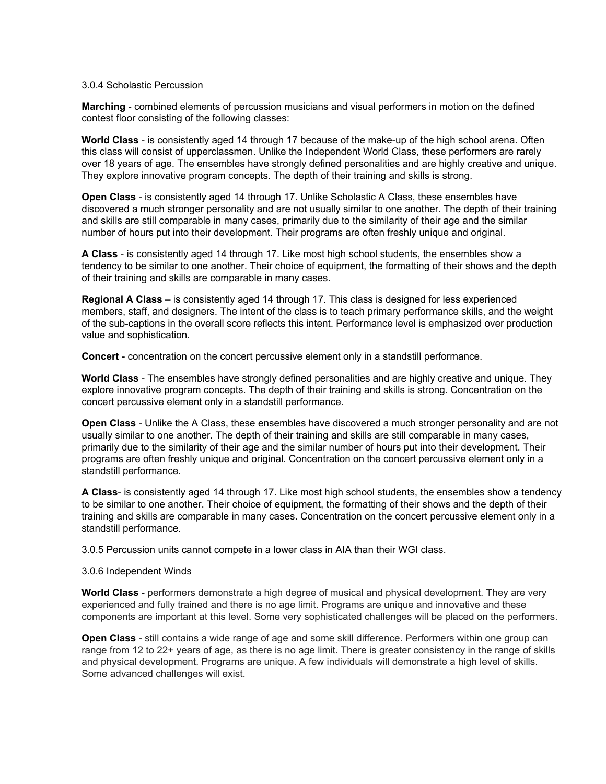#### 3.0.4 Scholastic Percussion

**Marching** - combined elements of percussion musicians and visual performers in motion on the defined contest floor consisting of the following classes:

**World Class** - is consistently aged 14 through 17 because of the make-up of the high school arena. Often this class will consist of upperclassmen. Unlike the Independent World Class, these performers are rarely over 18 years of age. The ensembles have strongly defined personalities and are highly creative and unique. They explore innovative program concepts. The depth of their training and skills is strong.

**Open Class** - is consistently aged 14 through 17. Unlike Scholastic A Class, these ensembles have discovered a much stronger personality and are not usually similar to one another. The depth of their training and skills are still comparable in many cases, primarily due to the similarity of their age and the similar number of hours put into their development. Their programs are often freshly unique and original.

**A Class** - is consistently aged 14 through 17. Like most high school students, the ensembles show a tendency to be similar to one another. Their choice of equipment, the formatting of their shows and the depth of their training and skills are comparable in many cases.

**Regional A Class** – is consistently aged 14 through 17. This class is designed for less experienced members, staff, and designers. The intent of the class is to teach primary performance skills, and the weight of the sub-captions in the overall score reflects this intent. Performance level is emphasized over production value and sophistication.

**Concert** - concentration on the concert percussive element only in a standstill performance.

**World Class** - The ensembles have strongly defined personalities and are highly creative and unique. They explore innovative program concepts. The depth of their training and skills is strong. Concentration on the concert percussive element only in a standstill performance.

**Open Class** - Unlike the A Class, these ensembles have discovered a much stronger personality and are not usually similar to one another. The depth of their training and skills are still comparable in many cases, primarily due to the similarity of their age and the similar number of hours put into their development. Their programs are often freshly unique and original. Concentration on the concert percussive element only in a standstill performance.

**A Class**- is consistently aged 14 through 17. Like most high school students, the ensembles show a tendency to be similar to one another. Their choice of equipment, the formatting of their shows and the depth of their training and skills are comparable in many cases. Concentration on the concert percussive element only in a standstill performance.

3.0.5 Percussion units cannot compete in a lower class in AIA than their WGI class.

#### 3.0.6 Independent Winds

**World Class** - performers demonstrate a high degree of musical and physical development. They are very experienced and fully trained and there is no age limit. Programs are unique and innovative and these components are important at this level. Some very sophisticated challenges will be placed on the performers.

**Open Class** - still contains a wide range of age and some skill difference. Performers within one group can range from 12 to 22+ years of age, as there is no age limit. There is greater consistency in the range of skills and physical development. Programs are unique. A few individuals will demonstrate a high level of skills. Some advanced challenges will exist.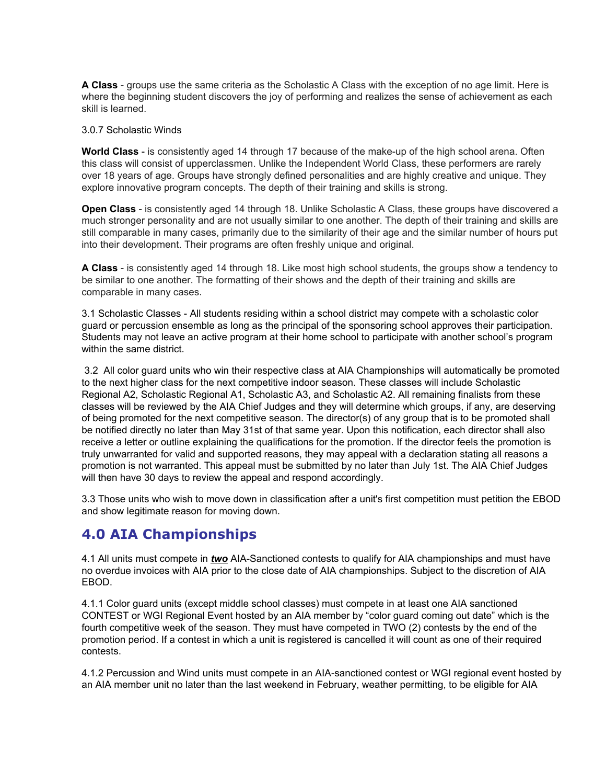**A Class** - groups use the same criteria as the Scholastic A Class with the exception of no age limit. Here is where the beginning student discovers the joy of performing and realizes the sense of achievement as each skill is learned.

#### 3.0.7 Scholastic Winds

**World Class** - is consistently aged 14 through 17 because of the make-up of the high school arena. Often this class will consist of upperclassmen. Unlike the Independent World Class, these performers are rarely over 18 years of age. Groups have strongly defined personalities and are highly creative and unique. They explore innovative program concepts. The depth of their training and skills is strong.

**Open Class** - is consistently aged 14 through 18. Unlike Scholastic A Class, these groups have discovered a much stronger personality and are not usually similar to one another. The depth of their training and skills are still comparable in many cases, primarily due to the similarity of their age and the similar number of hours put into their development. Their programs are often freshly unique and original.

**A Class** - is consistently aged 14 through 18. Like most high school students, the groups show a tendency to be similar to one another. The formatting of their shows and the depth of their training and skills are comparable in many cases.

3.1 Scholastic Classes - All students residing within a school district may compete with a scholastic color guard or percussion ensemble as long as the principal of the sponsoring school approves their participation. Students may not leave an active program at their home school to participate with another school's program within the same district.

3.2 All color guard units who win their respective class at AIA Championships will automatically be promoted to the next higher class for the next competitive indoor season. These classes will include Scholastic Regional A2, Scholastic Regional A1, Scholastic A3, and Scholastic A2. All remaining finalists from these classes will be reviewed by the AIA Chief Judges and they will determine which groups, if any, are deserving of being promoted for the next competitive season. The director(s) of any group that is to be promoted shall be notified directly no later than May 31st of that same year. Upon this notification, each director shall also receive a letter or outline explaining the qualifications for the promotion. If the director feels the promotion is truly unwarranted for valid and supported reasons, they may appeal with a declaration stating all reasons a promotion is not warranted. This appeal must be submitted by no later than July 1st. The AIA Chief Judges will then have 30 days to review the appeal and respond accordingly.

3.3 Those units who wish to move down in classification after a unit's first competition must petition the EBOD and show legitimate reason for moving down.

### **4.0 AIA Championships**

4.1 All units must compete in *two* AIA-Sanctioned contests to qualify for AIA championships and must have no overdue invoices with AIA prior to the close date of AIA championships. Subject to the discretion of AIA EBOD.

4.1.1 Color guard units (except middle school classes) must compete in at least one AIA sanctioned CONTEST or WGI Regional Event hosted by an AIA member by "color guard coming out date" which is the fourth competitive week of the season. They must have competed in TWO (2) contests by the end of the promotion period. If a contest in which a unit is registered is cancelled it will count as one of their required contests.

4.1.2 Percussion and Wind units must compete in an AIA-sanctioned contest or WGI regional event hosted by an AIA member unit no later than the last weekend in February, weather permitting, to be eligible for AIA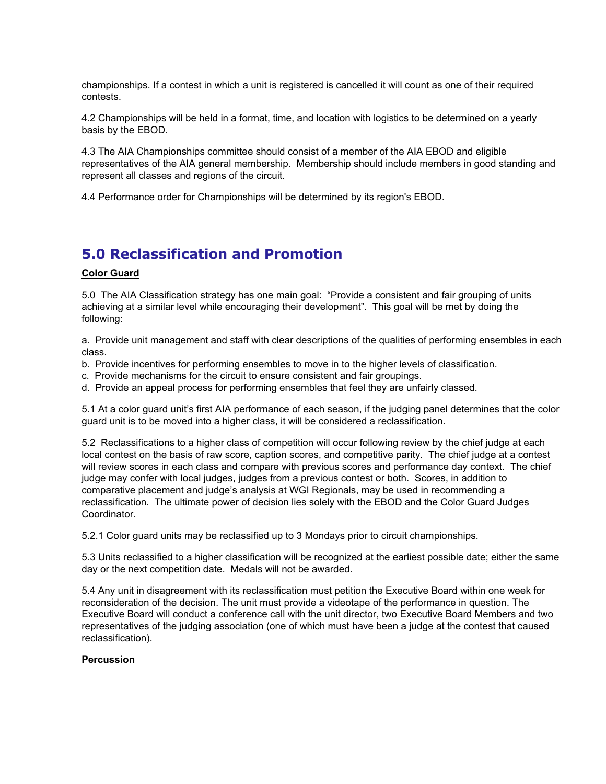championships. If a contest in which a unit is registered is cancelled it will count as one of their required contests.

4.2 Championships will be held in a format, time, and location with logistics to be determined on a yearly basis by the EBOD.

4.3 The AIA Championships committee should consist of a member of the AIA EBOD and eligible representatives of the AIA general membership. Membership should include members in good standing and represent all classes and regions of the circuit.

4.4 Performance order for Championships will be determined by its region's EBOD.

## **5.0 Reclassification and Promotion**

#### **Color Guard**

5.0 The AIA Classification strategy has one main goal: "Provide a consistent and fair grouping of units achieving at a similar level while encouraging their development". This goal will be met by doing the following:

a. Provide unit management and staff with clear descriptions of the qualities of performing ensembles in each class.

- b. Provide incentives for performing ensembles to move in to the higher levels of classification.
- c. Provide mechanisms for the circuit to ensure consistent and fair groupings.
- d. Provide an appeal process for performing ensembles that feel they are unfairly classed.

5.1 At a color guard unit's first AIA performance of each season, if the judging panel determines that the color guard unit is to be moved into a higher class, it will be considered a reclassification.

5.2 Reclassifications to a higher class of competition will occur following review by the chief judge at each local contest on the basis of raw score, caption scores, and competitive parity. The chief judge at a contest will review scores in each class and compare with previous scores and performance day context. The chief judge may confer with local judges, judges from a previous contest or both. Scores, in addition to comparative placement and judge's analysis at WGI Regionals, may be used in recommending a reclassification. The ultimate power of decision lies solely with the EBOD and the Color Guard Judges Coordinator.

5.2.1 Color guard units may be reclassified up to 3 Mondays prior to circuit championships.

5.3 Units reclassified to a higher classification will be recognized at the earliest possible date; either the same day or the next competition date. Medals will not be awarded.

5.4 Any unit in disagreement with its reclassification must petition the Executive Board within one week for reconsideration of the decision. The unit must provide a videotape of the performance in question. The Executive Board will conduct a conference call with the unit director, two Executive Board Members and two representatives of the judging association (one of which must have been a judge at the contest that caused reclassification).

#### **Percussion**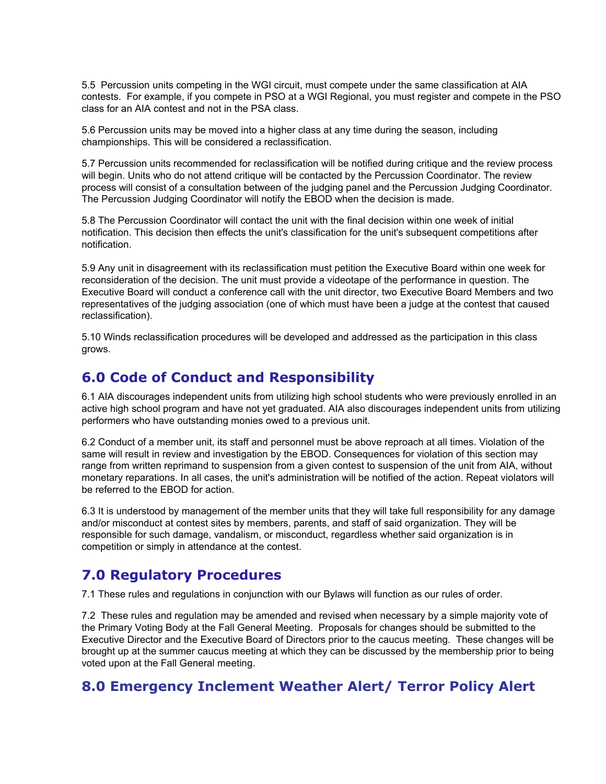5.5 Percussion units competing in the WGI circuit, must compete under the same classification at AIA contests. For example, if you compete in PSO at a WGI Regional, you must register and compete in the PSO class for an AIA contest and not in the PSA class.

5.6 Percussion units may be moved into a higher class at any time during the season, including championships. This will be considered a reclassification.

5.7 Percussion units recommended for reclassification will be notified during critique and the review process will begin. Units who do not attend critique will be contacted by the Percussion Coordinator. The review process will consist of a consultation between of the judging panel and the Percussion Judging Coordinator. The Percussion Judging Coordinator will notify the EBOD when the decision is made.

5.8 The Percussion Coordinator will contact the unit with the final decision within one week of initial notification. This decision then effects the unit's classification for the unit's subsequent competitions after notification.

5.9 Any unit in disagreement with its reclassification must petition the Executive Board within one week for reconsideration of the decision. The unit must provide a videotape of the performance in question. The Executive Board will conduct a conference call with the unit director, two Executive Board Members and two representatives of the judging association (one of which must have been a judge at the contest that caused reclassification).

5.10 Winds reclassification procedures will be developed and addressed as the participation in this class grows.

### **6.0 Code of Conduct and Responsibility**

6.1 AIA discourages independent units from utilizing high school students who were previously enrolled in an active high school program and have not yet graduated. AIA also discourages independent units from utilizing performers who have outstanding monies owed to a previous unit.

6.2 Conduct of a member unit, its staff and personnel must be above reproach at all times. Violation of the same will result in review and investigation by the EBOD. Consequences for violation of this section may range from written reprimand to suspension from a given contest to suspension of the unit from AIA, without monetary reparations. In all cases, the unit's administration will be notified of the action. Repeat violators will be referred to the EBOD for action.

6.3 It is understood by management of the member units that they will take full responsibility for any damage and/or misconduct at contest sites by members, parents, and staff of said organization. They will be responsible for such damage, vandalism, or misconduct, regardless whether said organization is in competition or simply in attendance at the contest.

# **7.0 Regulatory Procedures**

7.1 These rules and regulations in conjunction with our Bylaws will function as our rules of order.

7.2 These rules and regulation may be amended and revised when necessary by a simple majority vote of the Primary Voting Body at the Fall General Meeting. Proposals for changes should be submitted to the Executive Director and the Executive Board of Directors prior to the caucus meeting. These changes will be brought up at the summer caucus meeting at which they can be discussed by the membership prior to being voted upon at the Fall General meeting.

### **8.0 Emergency Inclement Weather Alert/ Terror Policy Alert**